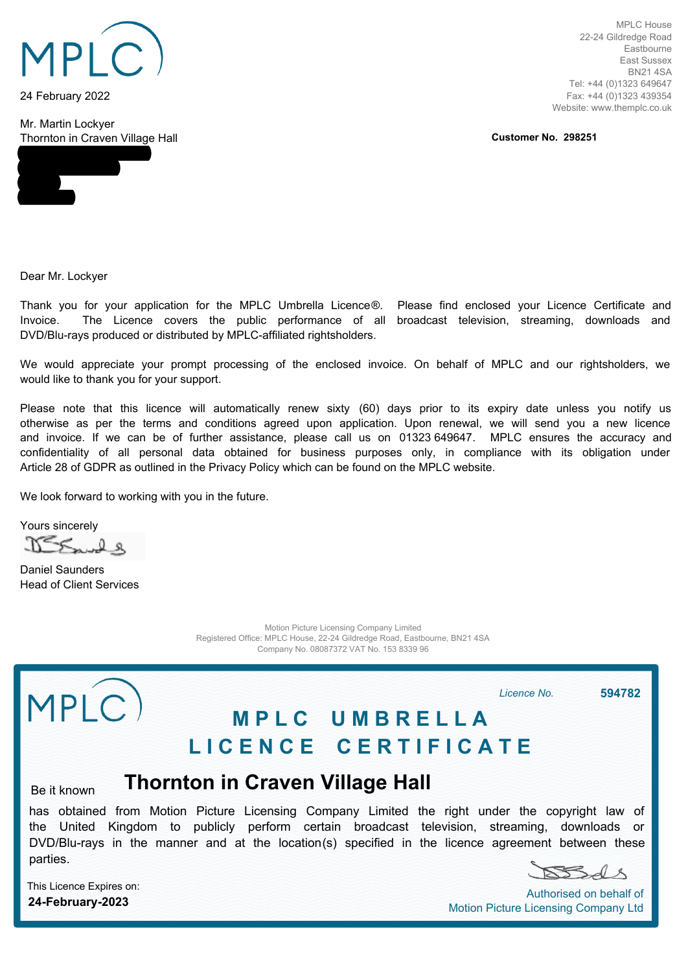

24 February 2022

Mr. Martin Lockyer Thornton in Craven Village Hall

MPLC House 22-24 Gildredge Road Eastbourne East Sussex BN21 4SA Tel: +44 (0)1323 649647 Fax: +44 (0)1323 439354 Website: www.themplc.co.uk

**Customer No. 298251**

Dear Mr. Lockyer

Thank you for your application for the MPLC Umbrella Licence®. Please find enclosed your Licence Certificate and Invoice. The Licence covers the public performance of all broadcast television, streaming, downloads and DVD/Blu-rays produced or distributed by MPLC-affiliated rightsholders.

We would appreciate your prompt processing of the enclosed invoice. On behalf of MPLC and our rightsholders, we would like to thank you for your support.

Please note that this licence will automatically renew sixty (60) days prior to its expiry date unless you notify us otherwise as per the terms and conditions agreed upon application. Upon renewal, we will send you a new licence and invoice. If we can be of further assistance, please call us on 01323 649647. MPLC ensures the accuracy and confidentiality of all personal data obtained for business purposes only, in compliance with its obligation under Article 28 of GDPR as outlined in the Privacy Policy which can be found on the MPLC website.

We look forward to working with you in the future.

Yours sincerely

 $N<\leq L$ 

Daniel Saunders Head of Client Services

> Motion Picture Licensing Company Limited Registered Office: MPLC House, 22-24 Gildredge Road, Eastbourne, BN21 4SA Company No. 08087372 VAT No. 153 8339 96

## MPLC *Licence No.* **594782 M P L C U M B R E L L A L I C E N C E C E R T I F I C A T E Thornton in Craven Village Hall** Be it known

has obtained from Motion Picture Licensing Company Limited the right under the copyright law of the United Kingdom to publicly perform certain broadcast television, streaming, downloads or DVD/Blu-rays in the manner and at the location(s) specified in the licence agreement between these parties.

SSAS

Authorised on behalf of Motion Picture Licensing Company Ltd

This Licence Expires on: **24-February-2023**